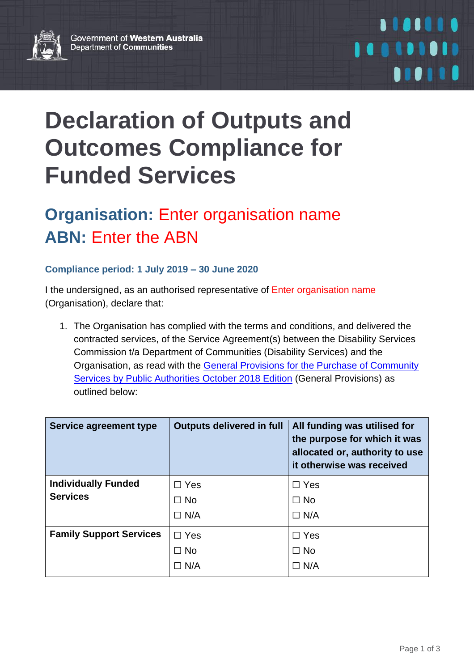

## 1101110 100101010 **......**

## **Declaration of Outputs and Outcomes Compliance for Funded Services**

## **Organisation:** Enter organisation name **ABN:** Enter the ABN

## **Compliance period: 1 July 2019 – 30 June 2020**

I the undersigned, as an authorised representative of Enter organisation name (Organisation), declare that:

1. The Organisation has complied with the terms and conditions, and delivered the contracted services, of the Service Agreement(s) between the Disability Services Commission t/a Department of Communities (Disability Services) and the Organisation, as read with the [General Provisions for the Purchase of Community](https://www.wa.gov.au/sites/default/files/2019-08/General%20Provisions%20for%20the%20Purchase%20of%20Community%20Services.pdf)  [Services by Public Authorities](https://www.wa.gov.au/sites/default/files/2019-08/General%20Provisions%20for%20the%20Purchase%20of%20Community%20Services.pdf) October 2018 Edition (General Provisions) as outlined below:

| Service agreement type         | <b>Outputs delivered in full</b> | All funding was utilised for<br>the purpose for which it was<br>allocated or, authority to use<br>it otherwise was received |
|--------------------------------|----------------------------------|-----------------------------------------------------------------------------------------------------------------------------|
| <b>Individually Funded</b>     | $\Box$ Yes                       | $\Box$ Yes                                                                                                                  |
| <b>Services</b>                | $\Box$ No                        | $\Box$ No                                                                                                                   |
|                                | $\Box$ N/A                       | $\Box$ N/A                                                                                                                  |
| <b>Family Support Services</b> | $\Box$ Yes                       | $\Box$ Yes                                                                                                                  |
|                                | $\Box$ No                        | $\Box$ No                                                                                                                   |
|                                | $\Box$ N/A                       | $\Box$ N/A                                                                                                                  |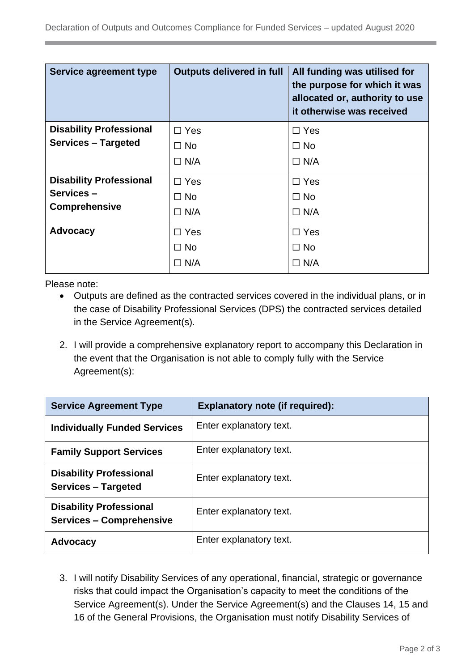| <b>Service agreement type</b>     | <b>Outputs delivered in full</b> | All funding was utilised for<br>the purpose for which it was<br>allocated or, authority to use<br>it otherwise was received |
|-----------------------------------|----------------------------------|-----------------------------------------------------------------------------------------------------------------------------|
| <b>Disability Professional</b>    | $\Box$ Yes                       | $\Box$ Yes                                                                                                                  |
| <b>Services - Targeted</b>        | $\Box$ No                        | $\Box$ No                                                                                                                   |
|                                   | $\Box$ N/A                       | $\Box$ N/A                                                                                                                  |
| <b>Disability Professional</b>    | $\Box$ Yes                       | $\Box$ Yes                                                                                                                  |
| Services-<br><b>Comprehensive</b> | $\Box$ No                        | $\Box$ No                                                                                                                   |
|                                   | $\Box$ N/A                       | $\Box$ N/A                                                                                                                  |
| <b>Advocacy</b>                   | $\Box$ Yes                       | $\Box$ Yes                                                                                                                  |
|                                   | $\Box$ No                        | $\Box$ No                                                                                                                   |
|                                   | $\Box$ N/A                       | $\Box$ N/A                                                                                                                  |

Please note:

- Outputs are defined as the contracted services covered in the individual plans, or in the case of Disability Professional Services (DPS) the contracted services detailed in the Service Agreement(s).
- 2. I will provide a comprehensive explanatory report to accompany this Declaration in the event that the Organisation is not able to comply fully with the Service Agreement(s):

| <b>Service Agreement Type</b>                                     | <b>Explanatory note (if required):</b> |
|-------------------------------------------------------------------|----------------------------------------|
| <b>Individually Funded Services</b>                               | Enter explanatory text.                |
| <b>Family Support Services</b>                                    | Enter explanatory text.                |
| <b>Disability Professional</b><br><b>Services - Targeted</b>      | Enter explanatory text.                |
| <b>Disability Professional</b><br><b>Services - Comprehensive</b> | Enter explanatory text.                |
| <b>Advocacy</b>                                                   | Enter explanatory text.                |

3. I will notify Disability Services of any operational, financial, strategic or governance risks that could impact the Organisation's capacity to meet the conditions of the Service Agreement(s). Under the Service Agreement(s) and the Clauses 14, 15 and 16 of the General Provisions, the Organisation must notify Disability Services of